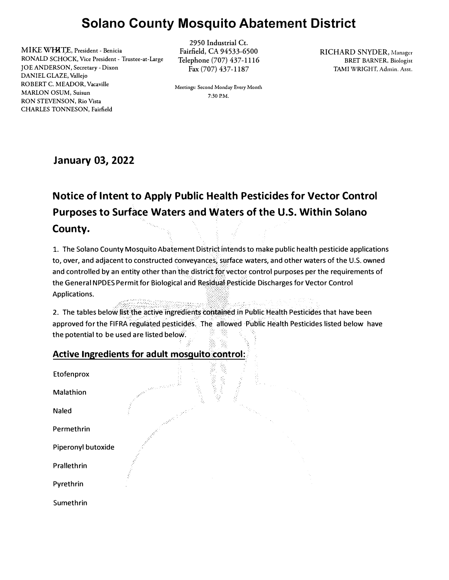## **Solano County Mosquito Abatement District**

MIKE WHITE, President - Benicia RONALD SCHOCK, Vice President - Trustee-at-Large JOE ANDERSON, Secretary-Dixon DANIEL GLAZE, Vallejo ROBERT C. MEADOR, Vacaville MARLON OSUM, Suisun RON STEVENSON, Rio Vista CHARLES TONNESON, Fairfield

2950 Industrial Ct. Fairfield, CA 94533-6500 Telephone (707) 437-1116 Fax (707) 437-1187

Meetings: Second Monday Every Month 7:30 P.M.

RICHARD SNYDER, Manager BRET BARNER, Biologist TAMI WRIGHT, Admin. Asst.

**January 03, 2022** 

# **Notice of Intent to Apply Public Health Pesticides for Vector Control Purposes to Surface Waters and Waters of the U.S. Within Solano County.**

1. The Solano County Mosquito Abatement District intends to make public health pesticide applications to, over, and adjacent to constructed conveyances, surface waters, and other waters of the U.S. owned and controlled by an entity other than the district for vector control purposes per the requirements of the General NPDES Permit for Biological and Residual Pesticide Discharges for Vector Control Applications.

2. The tables below list the active ingredients contained in Public Health Pesticides that have been approved for the FIFRA regulated pesticides. The allowed Public Health Pesticides listed below have the potential to be used are listed below.

#### Active Ingredients for adult mosquito control:

| Etofenprox         |                                                                                                                |  |
|--------------------|----------------------------------------------------------------------------------------------------------------|--|
| Malathion          | 网络学<br>$\epsilon_{\mu\nu} \gamma^{\mu} \gamma \in \mathbb{R}^{n_{\mu} \gamma_{\mu}}$<br>S.<br>S<br>슞<br>i<br>S |  |
| Naled              |                                                                                                                |  |
| Permethrin         |                                                                                                                |  |
| Piperonyl butoxide |                                                                                                                |  |
| Prallethrin        |                                                                                                                |  |
| Pyrethrin          |                                                                                                                |  |
| Sumethrin          |                                                                                                                |  |